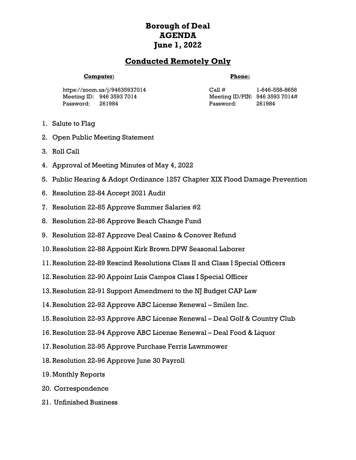## **Borough of Deal AGENDA June 1, 2022**

## **Conducted Remotely Only**

## **Computer:**

## **Phone:**

https://zoom.us/j/94635937014 Meeting ID: 946 3593 7014 Password: 261984

Call # 1-646-558-8656 Meeting ID/PIN: 946 3593 7014# Password: 261984

- 1. Salute to Flag
- 2. Open Public Meeting Statement
- 3. Roll Call
- 4. Approval of Meeting Minutes of May 4, 2022
- 5. Public Hearing & Adopt Ordinance 1257 Chapter XIX Flood Damage Prevention
- 6. Resolution 22-84 Accept 2021 Audit
- 7. Resolution 22-85 Approve Summer Salaries #2
- 8. Resolution 22-86 Approve Beach Change Fund
- 9. Resolution 22-87 Approve Deal Casino & Conover Refund
- 10.Resolution 22-88 Appoint Kirk Brown DPW Seasonal Laborer
- 11.Resolution 22-89 Rescind Resolutions Class II and Class I Special Officers
- 12.Resolution 22-90 Appoint Luis Campos Class I Special Officer
- 13.Resolution 22-91 Support Amendment to the NJ Budget CAP Law
- 14.Resolution 22-92 Approve ABC License Renewal Smilen Inc.
- 15.Resolution 22-93 Approve ABC License Renewal Deal Golf & Country Club
- 16.Resolution 22-94 Approve ABC License Renewal Deal Food & Liquor
- 17.Resolution 22-95 Approve Purchase Ferris Lawnmower
- 18.Resolution 22-96 Approve June 30 Payroll
- 19.Monthly Reports
- 20. Correspondence
- 21. Unfinished Business